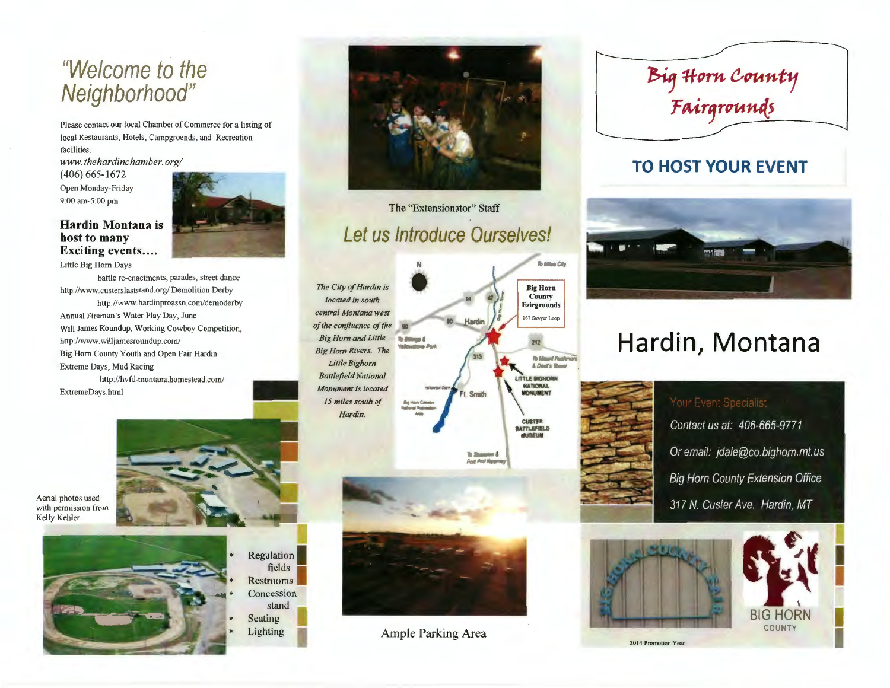## "Welcome to the Neighborhood"

Please contact our local Chamber of Commerce for a listing of local Restaurants, Hotels, Campgrounds, and Recreation **facilities** 

www.thehardinchamber.org/  $(406) 665 - 1672$ Open Monday-Friday 9:00 am-5:00 pm



Little Big Horn Days

host to many

battle re-enactments, parades, street dance http://www.custerslaststand.org/ Demolition Derby http://www.hardinproassn.com/demoderby Annual Fireman's Water Play Day, June Will James Roundup, Working Cowboy Competition, http://www.willjamesroundup.com/ Big Horn County Youth and Open Fair Hardin **Extreme Days, Mud Racing** 

http://hvfd-montana.homestead.com/ ExtremeDays.html



Aerial photos used with permission from Kelly Kehler







The "Extensionator" Staff Let us Introduce Ourselves!



To Shandler & **Port Phil Hearney** 



**Ample Parking Area** 

Big Horn County<br>Fairgrounds

## **TO HOST YOUR EVENT**



## Hardin, Montana



Contact us at: 406-665-9771 Or email: jdale@co.bighorn.mt.us **Big Horn County Extension Office** 317 N. Custer Ave. Hardin, MT





2014 Promotion Year